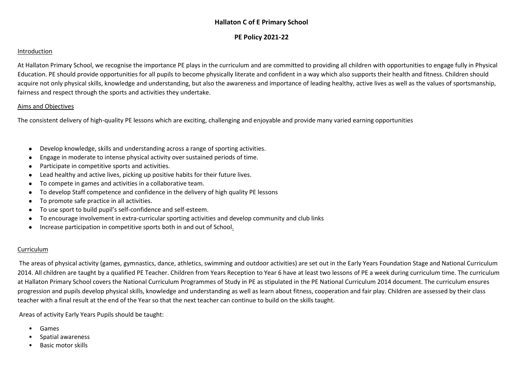## **Hallaton C of E Primary School**

## **PE Policy 2021-22**

#### Introduction

At Hallaton Primary School, we recognise the importance PE plays in the curriculum and are committed to providing all children with opportunities to engage fully in Physical Education. PE should provide opportunities for all pupils to become physically literate and confident in a way which also supports their health and fitness. Children should acquire not only physical skills, knowledge and understanding, but also the awareness and importance of leading healthy, active lives as well as the values of sportsmanship, fairness and respect through the sports and activities they undertake.

## Aims and Objectives

The consistent delivery of high-quality PE lessons which are exciting, challenging and enjoyable and provide many varied earning opportunities

- Develop knowledge, skills and understanding across a range of sporting activities.
- Engage in moderate to intense physical activity over sustained periods of time.
- Participate in competitive sports and activities.
- Lead healthy and active lives, picking up positive habits for their future lives.
- To compete in games and activities in a collaborative team.
- To develop Staff competence and confidence in the delivery of high quality PE lessons
- To promote safe practice in all activities.
- To use sport to build pupil's self-confidence and self-esteem.
- To encourage involvement in extra-curricular sporting activities and develop community and club links
- Increase participation in competitive sports both in and out of School.

#### Curriculum

The areas of physical activity (games, gymnastics, dance, athletics, swimming and outdoor activities) are set out in the Early Years Foundation Stage and National Curriculum 2014. All children are taught by a qualified PE Teacher. Children from Years Reception to Year 6 have at least two lessons of PE a week during curriculum time. The curriculum at Hallaton Primary School covers the National Curriculum Programmes of Study in PE as stipulated in the PE National Curriculum 2014 document. The curriculum ensures progression and pupils develop physical skills, knowledge and understanding as well as learn about fitness, cooperation and fair play. Children are assessed by their class teacher with a final result at the end of the Year so that the next teacher can continue to build on the skills taught.

Areas of activity Early Years Pupils should be taught:

- Games
- Spatial awareness
- Basic motor skills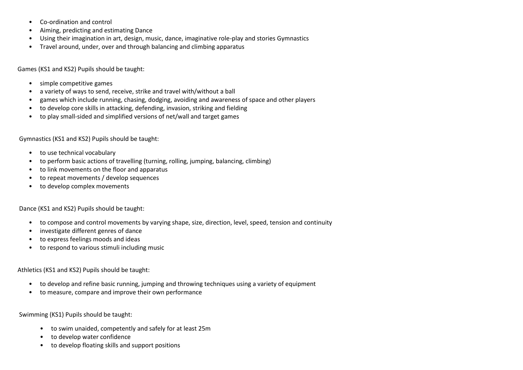- Co-ordination and control
- Aiming, predicting and estimating Dance
- Using their imagination in art, design, music, dance, imaginative role-play and stories Gymnastics
- Travel around, under, over and through balancing and climbing apparatus

Games (KS1 and KS2) Pupils should be taught:

- simple competitive games
- a variety of ways to send, receive, strike and travel with/without a ball
- games which include running, chasing, dodging, avoiding and awareness of space and other players
- to develop core skills in attacking, defending, invasion, striking and fielding
- to play small-sided and simplified versions of net/wall and target games

Gymnastics (KS1 and KS2) Pupils should be taught:

- to use technical vocabulary
- to perform basic actions of travelling (turning, rolling, jumping, balancing, climbing)
- to link movements on the floor and apparatus
- to repeat movements / develop sequences
- to develop complex movements

Dance (KS1 and KS2) Pupils should be taught:

- to compose and control movements by varying shape, size, direction, level, speed, tension and continuity
- investigate different genres of dance
- to express feelings moods and ideas
- to respond to various stimuli including music

Athletics (KS1 and KS2) Pupils should be taught:

- to develop and refine basic running, jumping and throwing techniques using a variety of equipment
- to measure, compare and improve their own performance

Swimming (KS1) Pupils should be taught:

- to swim unaided, competently and safely for at least 25m
- to develop water confidence
- to develop floating skills and support positions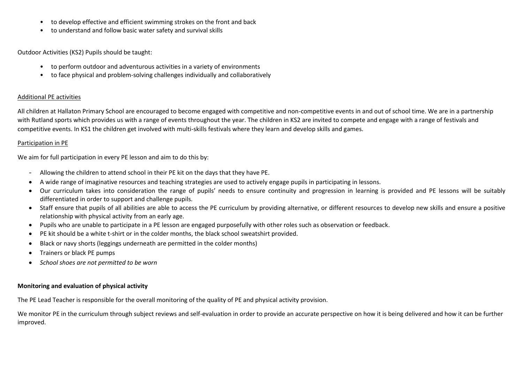- to develop effective and efficient swimming strokes on the front and back
- to understand and follow basic water safety and survival skills

Outdoor Activities (KS2) Pupils should be taught:

- to perform outdoor and adventurous activities in a variety of environments
- to face physical and problem-solving challenges individually and collaboratively

#### Additional PE activities

All children at Hallaton Primary School are encouraged to become engaged with competitive and non-competitive events in and out of school time. We are in a partnership with Rutland sports which provides us with a range of events throughout the year. The children in KS2 are invited to compete and engage with a range of festivals and competitive events. In KS1 the children get involved with multi-skills festivals where they learn and develop skills and games.

#### Participation in PE

We aim for full participation in every PE lesson and aim to do this by:

- Allowing the children to attend school in their PE kit on the days that they have PE.
- A wide range of imaginative resources and teaching strategies are used to actively engage pupils in participating in lessons.
- Our curriculum takes into consideration the range of pupils' needs to ensure continuity and progression in learning is provided and PE lessons will be suitably differentiated in order to support and challenge pupils.
- Staff ensure that pupils of all abilities are able to access the PE curriculum by providing alternative, or different resources to develop new skills and ensure a positive relationship with physical activity from an early age.
- Pupils who are unable to participate in a PE lesson are engaged purposefully with other roles such as observation or feedback.
- PE kit should be a white t-shirt or in the colder months, the black school sweatshirt provided.
- Black or navy shorts (leggings underneath are permitted in the colder months)
- Trainers or black PE pumps
- *School shoes are not permitted to be worn*

#### **Monitoring and evaluation of physical activity**

The PE Lead Teacher is responsible for the overall monitoring of the quality of PE and physical activity provision.

We monitor PE in the curriculum through subject reviews and self-evaluation in order to provide an accurate perspective on how it is being delivered and how it can be further improved.